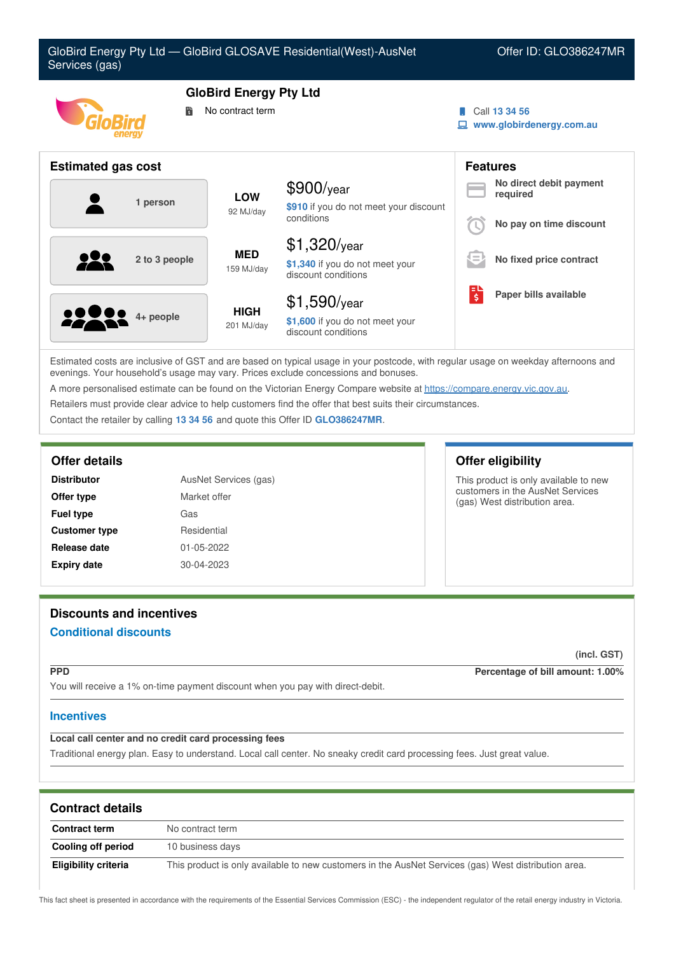| GloBird Energy Pty Ltd - GloBird GLOSAVE Residential(West)-AusNet<br>Offer ID: GLO386247MR<br>Services (gas) |                           |                                                                          |                                           |                                                                |  |
|--------------------------------------------------------------------------------------------------------------|---------------------------|--------------------------------------------------------------------------|-------------------------------------------|----------------------------------------------------------------|--|
| <b>GloBird Energy Pty Ltd</b><br>No contract term<br>鬜                                                       |                           |                                                                          | Call 13 34 56<br>www.globirdenergy.com.au |                                                                |  |
| <b>Estimated gas cost</b>                                                                                    |                           |                                                                          |                                           | <b>Features</b>                                                |  |
| 1 person                                                                                                     | <b>LOW</b><br>92 MJ/day   | $$900$ /year<br>\$910 if you do not meet your discount<br>conditions     |                                           | No direct debit payment<br>required<br>No pay on time discount |  |
| 2 to 3 people                                                                                                | <b>MED</b><br>159 MJ/day  | $$1,320$ /year<br>\$1,340 if you do not meet your<br>discount conditions | l =                                       | No fixed price contract                                        |  |
| 4+ people                                                                                                    | <b>HIGH</b><br>201 MJ/day | $$1,590$ /year<br>\$1,600 if you do not meet your<br>discount conditions | $\overline{\boldsymbol{\xi}}$             | Paper bills available                                          |  |

Estimated costs are inclusive of GST and are based on typical usage in your postcode, with regular usage on weekday afternoons and evenings. Your household's usage may vary. Prices exclude concessions and bonuses.

A more personalised estimate can be found on the Victorian Energy Compare website at <https://compare.energy.vic.gov.au>.

Retailers must provide clear advice to help customers find the offer that best suits their circumstances.

Contact the retailer by calling **13 34 56** and quote this Offer ID **GLO386247MR**.

| <b>Distributor</b>   | AusNet Services (gas) |  |
|----------------------|-----------------------|--|
| Offer type           | Market offer          |  |
| <b>Fuel type</b>     | Gas                   |  |
| <b>Customer type</b> | Residential           |  |
| Release date         | 01-05-2022            |  |
| <b>Expiry date</b>   | 30-04-2023            |  |

# **Discounts and incentives**

# **Conditional discounts**

#### **(incl. GST)**

**PPD Percentage of bill amount: 1.00%**

You will receive a 1% on-time payment discount when you pay with direct-debit.

### **Incentives**

# **Local call center and no credit card processing fees**

Traditional energy plan. Easy to understand. Local call center. No sneaky credit card processing fees. Just great value.

| <b>Contract details</b> |                                                                                                      |  |  |  |
|-------------------------|------------------------------------------------------------------------------------------------------|--|--|--|
| <b>Contract term</b>    | No contract term                                                                                     |  |  |  |
| Cooling off period      | 10 business days                                                                                     |  |  |  |
| Eligibility criteria    | This product is only available to new customers in the AusNet Services (gas) West distribution area. |  |  |  |

This fact sheet is presented in accordance with the requirements of the Essential Services Commission (ESC) - the independent regulator of the retail energy industry in Victoria.

# **Offer details Offer eligibility**

This product is only available to new customers in the AusNet Services (gas) West distribution area.